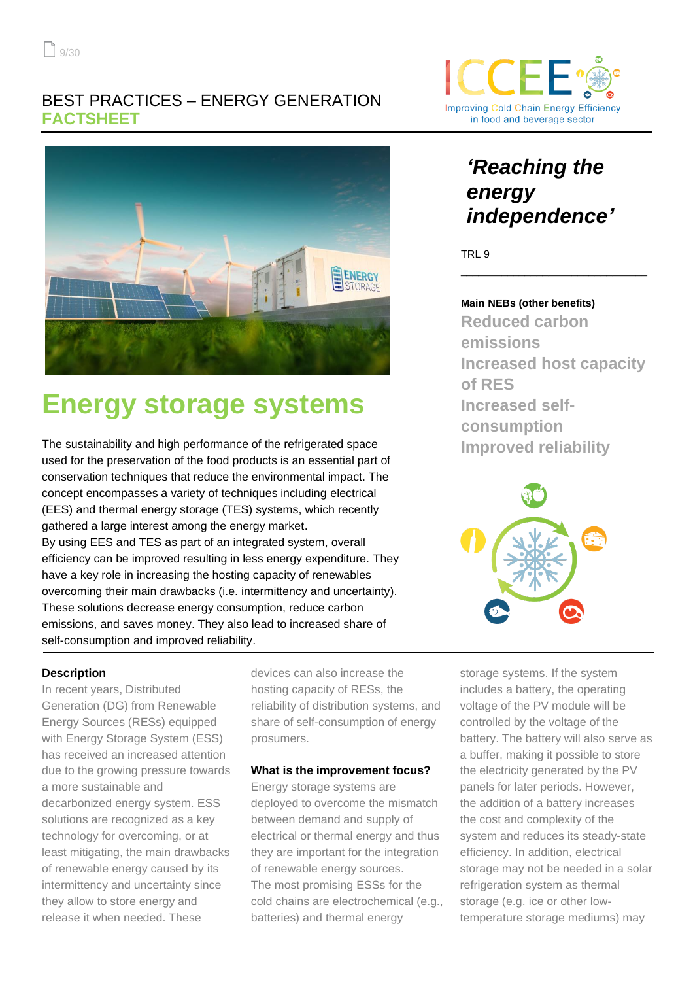

# **Energy storage systems**

The sustainability and high performance of the refrigerated space used for the preservation of the food products is an essential part of conservation techniques that reduce the environmental impact. The concept encompasses a variety of techniques including electrical (EES) and thermal energy storage (TES) systems, which recently gathered a large interest among the energy market. By using EES and TES as part of an integrated system, overall efficiency can be improved resulting in less energy expenditure. They have a key role in increasing the hosting capacity of renewables overcoming their main drawbacks (i.e. intermittency and uncertainty). These solutions decrease energy consumption, reduce carbon emissions, and saves money. They also lead to increased share of self-consumption and improved reliability.

#### **Description**

In recent years, Distributed Generation (DG) from Renewable Energy Sources (RESs) equipped with Energy Storage System (ESS) has received an increased attention due to the growing pressure towards a more sustainable and decarbonized energy system. ESS solutions are recognized as a key technology for overcoming, or at least mitigating, the main drawbacks of renewable energy caused by its intermittency and uncertainty since they allow to store energy and release it when needed. These

devices can also increase the hosting capacity of RESs, the reliability of distribution systems, and share of self-consumption of energy prosumers.

#### **What is the improvement focus?**

Energy storage systems are deployed to overcome the mismatch between demand and supply of electrical or thermal energy and thus they are important for the integration of renewable energy sources. The most promising ESSs for the cold chains are electrochemical (e.g., batteries) and thermal energy



# *'Reaching the energy independence'*

TRL 9

#### **Main NEBs (other benefits)**

**Reduced carbon emissions Increased host capacity of RES Increased selfconsumption Improved reliability**

\_\_\_\_\_\_\_\_\_\_\_\_\_\_\_\_\_\_\_\_\_\_\_\_\_\_\_\_\_\_\_\_



storage systems. If the system includes a battery, the operating voltage of the PV module will be controlled by the voltage of the battery. The battery will also serve as a buffer, making it possible to store the electricity generated by the PV panels for later periods. However, the addition of a battery increases the cost and complexity of the system and reduces its steady-state efficiency. In addition, electrical storage may not be needed in a solar refrigeration system as thermal storage (e.g. ice or other lowtemperature storage mediums) may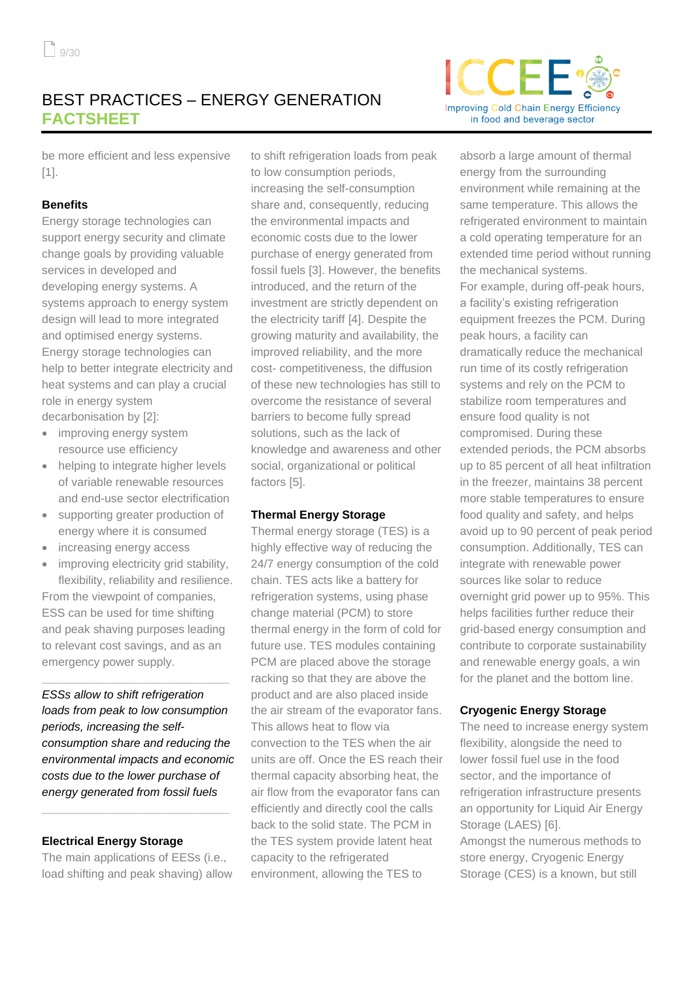

be more efficient and less expensive [1].

#### **Benefits**

Energy storage technologies can support energy security and climate change goals by providing valuable services in developed and developing energy systems. A systems approach to energy system design will lead to more integrated and optimised energy systems. Energy storage technologies can help to better integrate electricity and heat systems and can play a crucial role in energy system

decarbonisation by [2]:

- improving energy system resource use efficiency
- helping to integrate higher levels of variable renewable resources and end-use sector electrification
- supporting greater production of energy where it is consumed
- increasing energy access
- improving electricity grid stability, flexibility, reliability and resilience. From the viewpoint of companies,

ESS can be used for time shifting and peak shaving purposes leading to relevant cost savings, and as an emergency power supply.

**\_\_\_\_\_\_\_\_\_\_\_\_\_\_\_\_\_\_\_\_\_\_\_\_\_\_\_\_\_**

*ESSs allow to shift refrigeration loads from peak to low consumption periods, increasing the selfconsumption share and reducing the environmental impacts and economic costs due to the lower purchase of energy generated from fossil fuels*

#### **Electrical Energy Storage**

The main applications of EESs (i.e., load shifting and peak shaving) allow

**\_\_\_\_\_\_\_\_\_\_\_\_\_\_\_\_\_\_\_\_\_\_\_\_\_\_\_\_\_**

to shift refrigeration loads from peak to low consumption periods, increasing the self-consumption share and, consequently, reducing the environmental impacts and economic costs due to the lower purchase of energy generated from fossil fuels [3]. However, the benefits introduced, and the return of the investment are strictly dependent on the electricity tariff [4]. Despite the growing maturity and availability, the improved reliability, and the more cost- competitiveness, the diffusion of these new technologies has still to overcome the resistance of several barriers to become fully spread solutions, such as the lack of knowledge and awareness and other social, organizational or political factors [5].

#### **Thermal Energy Storage**

Thermal energy storage (TES) is a highly effective way of reducing the 24/7 energy consumption of the cold chain. TES acts like a battery for refrigeration systems, using phase change material (PCM) to store thermal energy in the form of cold for future use. TES modules containing PCM are placed above the storage racking so that they are above the product and are also placed inside the air stream of the evaporator fans. This allows heat to flow via convection to the TES when the air units are off. Once the ES reach their thermal capacity absorbing heat, the air flow from the evaporator fans can efficiently and directly cool the calls back to the solid state. The PCM in the TES system provide latent heat capacity to the refrigerated environment, allowing the TES to

absorb a large amount of thermal energy from the surrounding environment while remaining at the same temperature. This allows the refrigerated environment to maintain a cold operating temperature for an extended time period without running the mechanical systems. For example, during off-peak hours, a facility's existing refrigeration equipment freezes the PCM. During peak hours, a facility can dramatically reduce the mechanical run time of its costly refrigeration systems and rely on the PCM to stabilize room temperatures and ensure food quality is not compromised. During these extended periods, the PCM absorbs up to 85 percent of all heat infiltration in the freezer, maintains 38 percent more stable temperatures to ensure food quality and safety, and helps avoid up to 90 percent of peak period consumption. Additionally, TES can integrate with renewable power sources like solar to reduce overnight grid power up to 95%. This helps facilities further reduce their grid-based energy consumption and contribute to corporate sustainability and renewable energy goals, a win for the planet and the bottom line.

#### **Cryogenic Energy Storage**

The need to increase energy system flexibility, alongside the need to lower fossil fuel use in the food sector, and the importance of refrigeration infrastructure presents an opportunity for Liquid Air Energy Storage (LAES) [6]. Amongst the numerous methods to store energy, Cryogenic Energy Storage (CES) is a known, but still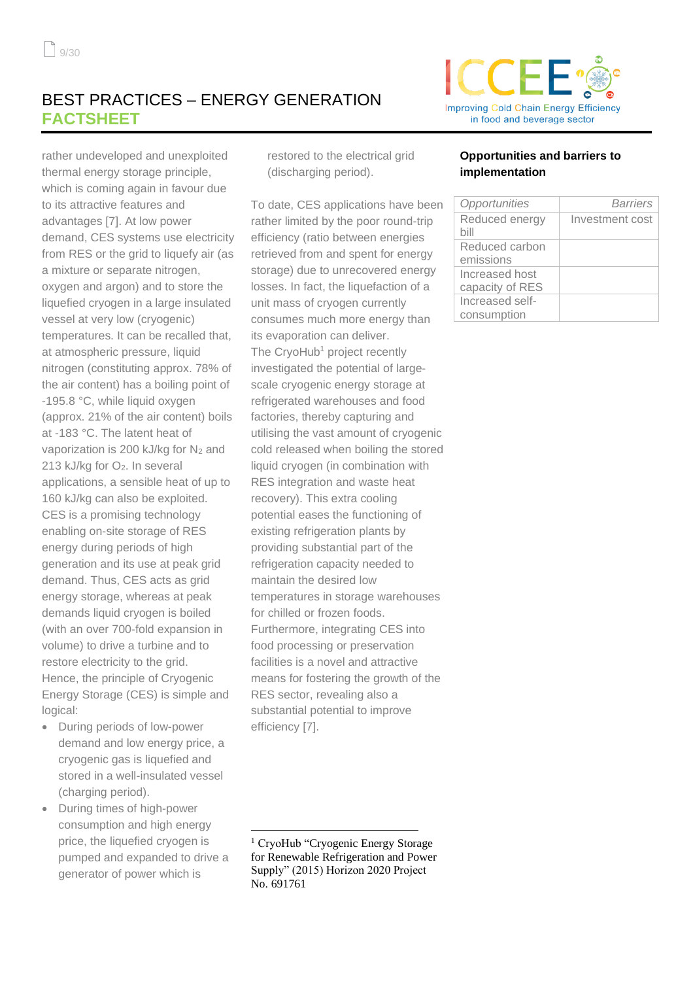rather undeveloped and unexploited thermal energy storage principle, which is coming again in favour due to its attractive features and advantages [7]. At low power demand, CES systems use electricity from RES or the grid to liquefy air (as a mixture or separate nitrogen, oxygen and argon) and to store the liquefied cryogen in a large insulated vessel at very low (cryogenic) temperatures. It can be recalled that, at atmospheric pressure, liquid nitrogen (constituting approx. 78% of the air content) has a boiling point of -195.8 °C, while liquid oxygen (approx. 21% of the air content) boils at -183 °C. The latent heat of vaporization is 200 kJ/kg for  $N_2$  and 213 kJ/kg for O<sub>2</sub>. In several applications, a sensible heat of up to 160 kJ/kg can also be exploited. CES is a promising technology enabling on-site storage of RES energy during periods of high generation and its use at peak grid demand. Thus, CES acts as grid energy storage, whereas at peak demands liquid cryogen is boiled (with an over 700-fold expansion in volume) to drive a turbine and to restore electricity to the grid. Hence, the principle of Cryogenic Energy Storage (CES) is simple and logical:

- During periods of low-power demand and low energy price, a cryogenic gas is liquefied and stored in a well-insulated vessel (charging period).
- During times of high-power consumption and high energy price, the liquefied cryogen is pumped and expanded to drive a generator of power which is

restored to the electrical grid (discharging period).

To date, CES applications have been rather limited by the poor round-trip efficiency (ratio between energies retrieved from and spent for energy storage) due to unrecovered energy losses. In fact, the liquefaction of a unit mass of cryogen currently consumes much more energy than its evaporation can deliver. The CrvoHub<sup>1</sup> project recently investigated the potential of largescale cryogenic energy storage at refrigerated warehouses and food factories, thereby capturing and utilising the vast amount of cryogenic cold released when boiling the stored liquid cryogen (in combination with RES integration and waste heat recovery). This extra cooling potential eases the functioning of existing refrigeration plants by providing substantial part of the refrigeration capacity needed to maintain the desired low temperatures in storage warehouses for chilled or frozen foods. Furthermore, integrating CES into food processing or preservation facilities is a novel and attractive means for fostering the growth of the RES sector, revealing also a substantial potential to improve efficiency [7].



#### **Opportunities and barriers to implementation**

| Opportunities          | Barriers        |
|------------------------|-----------------|
| Reduced energy<br>bill | Investment cost |
|                        |                 |
| Reduced carbon         |                 |
| emissions              |                 |
| Increased host         |                 |
| capacity of RES        |                 |
| Increased self-        |                 |
| consumption            |                 |

<sup>&</sup>lt;sup>1</sup> CryoHub "Cryogenic Energy Storage for Renewable Refrigeration and Power Supply" (2015) Horizon 2020 Project No. 691761